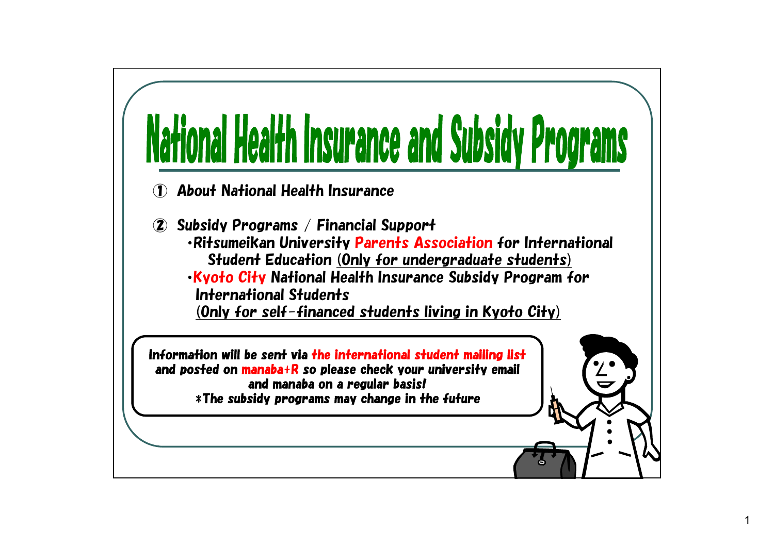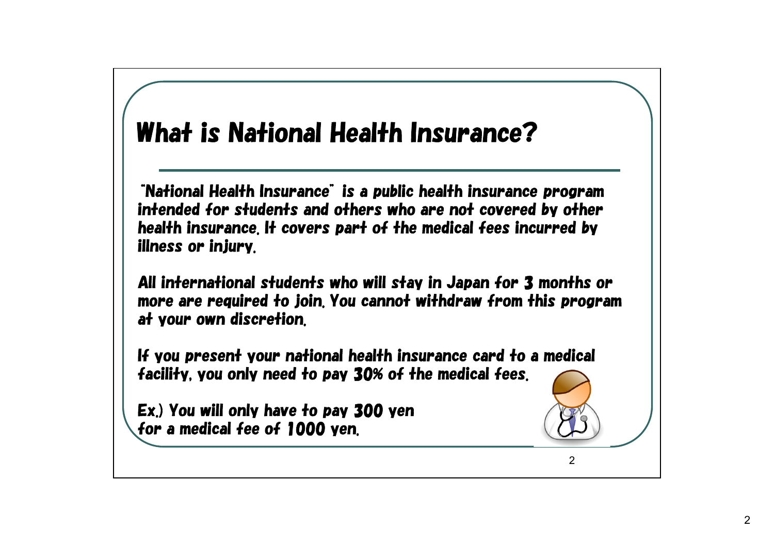## What is National Health Insurance?

"National Health Insurance" is a public health insurance program intended for students and others who are not covered by other health insurance. It covers part of the medical fees incurred by illness or injury.

All international students who will stay in Japan for 3 months or more are required to join. You cannot withdraw from this program at your own discretion.

If you present your national health insurance card to a medical facility, you only need to pay 30% of the medical fees.

Ex.) You will only have to pay 300 yen for a medical fee of 1000 yen.



 $\mathcal{D}$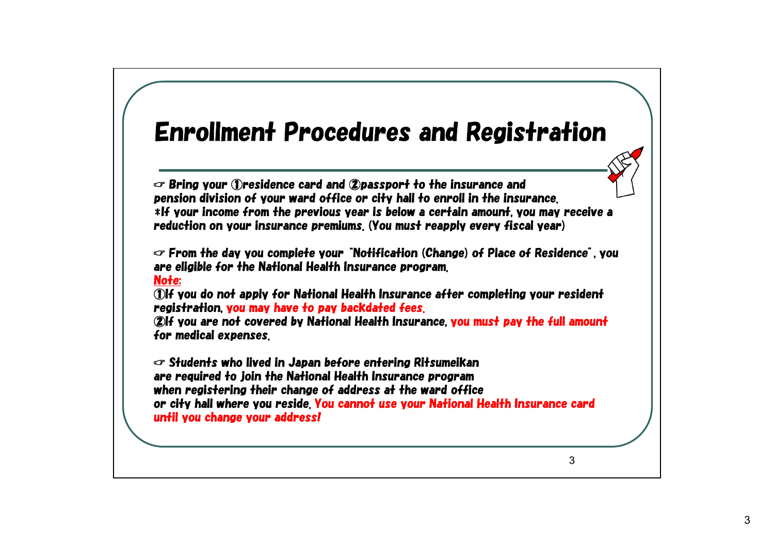### Enrollment Procedures and Registration

☞ Bring your ①residence card and ②passport to the insurance and pension division of your ward office or city hall to enroll in the insurance. \*If your income from the previous year is below a certain amount, you may receive a reduction on your insurance premiums. (You must reapply every fiscal year)

☞ From the day you complete your "Notification (Change) of Place of Residence", you are eligible for the National Health Insurance program. Note:

①If you do not apply for National Health Insurance after completing your resident registration, you may have to pay backdated fees.

②If you are not covered by National Health Insurance, you must pay the full amount for medical expenses.

☞ Students who lived in Japan before entering Ritsumeikan are required to join the National Health Insurance program when registering their change of address at the ward office or city hall where you reside. You cannot use your National Health Insurance card until you change your address!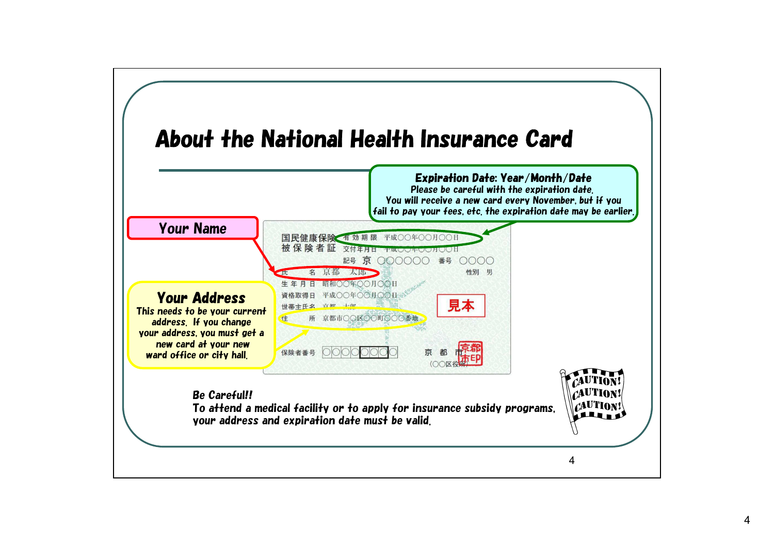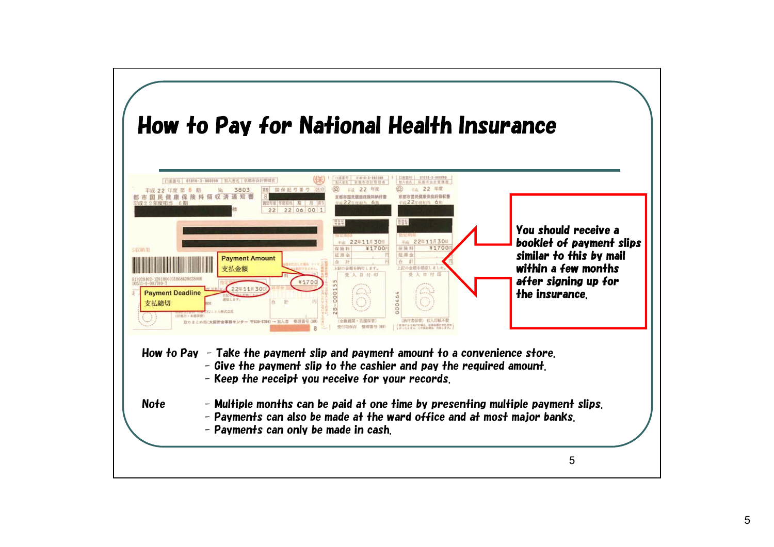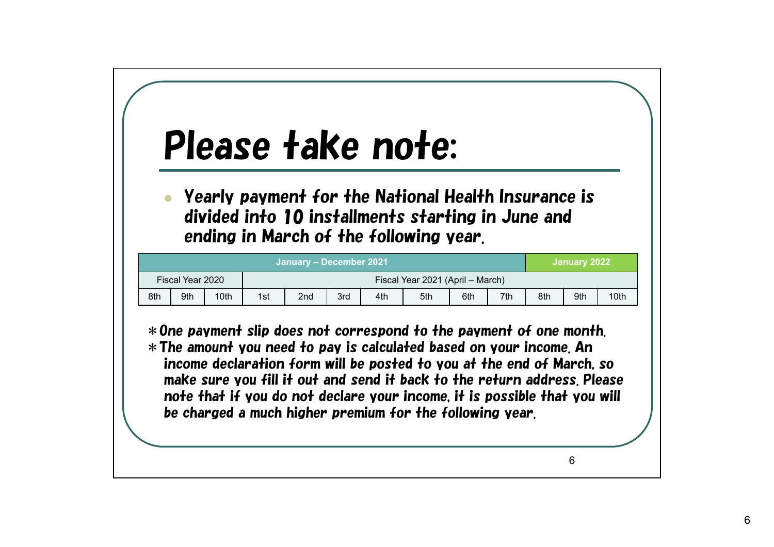# Please take note:

 Yearly payment for the National Health Insurance is divided into 10 installments starting in June and ending in March of the following year.

| January – December 2021 |     |      |                                  |                 |     |     |     |     |     | January 2022 |     |      |
|-------------------------|-----|------|----------------------------------|-----------------|-----|-----|-----|-----|-----|--------------|-----|------|
| Fiscal Year 2020        |     |      | Fiscal Year 2021 (April – March) |                 |     |     |     |     |     |              |     |      |
| 8th                     | 9th | 10th | 1st                              | 2 <sub>nd</sub> | 3rd | 4th | 5th | 6th | 7th | 8th          | 9th | 10th |

\*One payment slip does not correspond to the payment of one month. \*The amount you need to pay is calculated based on your income. An income declaration form will be posted to you at the end of March, so make sure you fill it out and send it back to the return address. Please note that if you do not declare your income, it is possible that you will be charged a much higher premium for the following year.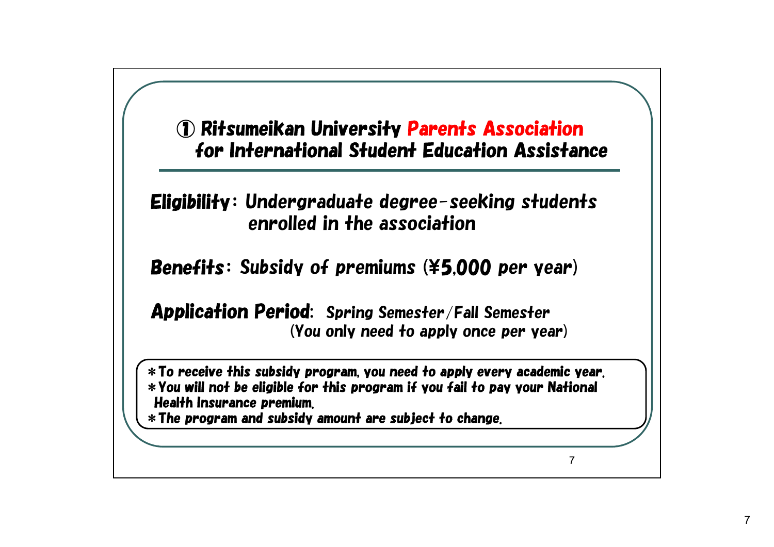#### ① Ritsumeikan University Parents Association for International Student Education Assistance

#### Eligibility: Undergraduate degree-seeking students enrolled in the association

Benefits: Subsidy of premiums (¥5,000 per year)

Application Period: Spring Semester/Fall Semester (You only need to apply once per year)

\*To receive this subsidy program, you need to apply every academic year. \*You will not be eligible for this program if you fail to pay your National Health Insurance premium.

\*The program and subsidy amount are subject to change.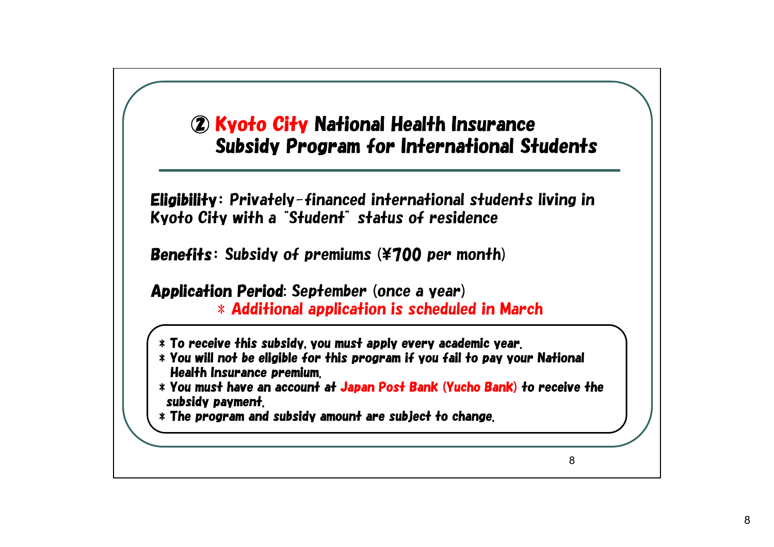#### ② Kyoto City National Health Insurance Subsidy Program for International Students

Eligibility: Privately-financed international students living in Kyoto City with a "Student" status of residence

Benefits: Subsidy of premiums (¥700 per month)

Application Period: September (once a year)  $\ast$  Additional application is scheduled in March

- $\ast$  To receive this subsidy, you must apply every academic year.
- \* You will not be eligible for this program if you fail to pay your National Health Insurance premium.
- \* You must have an account at Japan Post Bank (Yucho Bank) to receive the subsidy payment.
- $\ast$  The program and subsidy amount are subject to change.